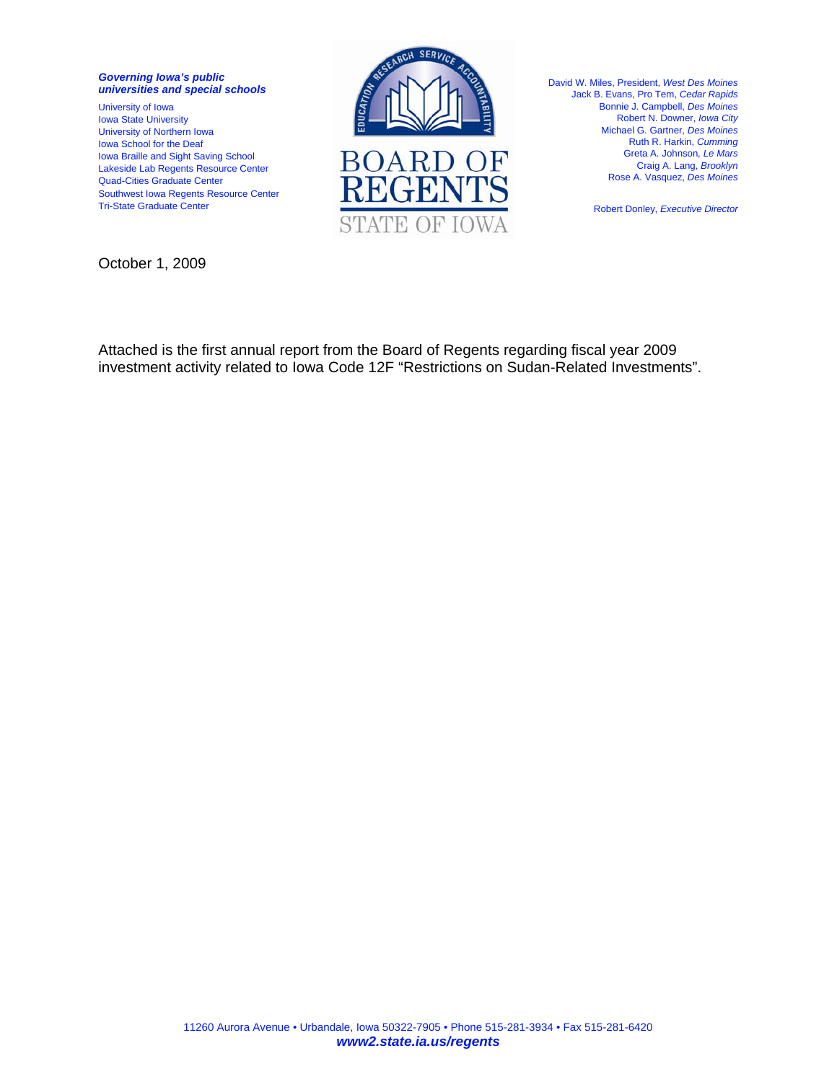*Governing Iowa's public universities and special schools* 

University of Iowa Iowa State University University of Northern Iowa Iowa School for the Deaf Iowa Braille and Sight Saving School Lakeside Lab Regents Resource Center Quad-Cities Graduate Center Southwest Iowa Regents Resource Center Tri-State Graduate Center



David W. Miles, President, *West Des Moines*  Jack B. Evans, Pro Tem, *Cedar Rapids*  Bonnie J. Campbell, *Des Moines*  Robert N. Downer, *Iowa City*  Michael G. Gartner, *Des Moines*  Ruth R. Harkin, *Cumming*  Greta A. Johnson*, Le Mars*  Craig A. Lang, *Brooklyn*  Rose A. Vasquez, *Des Moines* 

Robert Donley, *Executive Director*

October 1, 2009

Attached is the first annual report from the Board of Regents regarding fiscal year 2009 investment activity related to Iowa Code 12F "Restrictions on Sudan-Related Investments".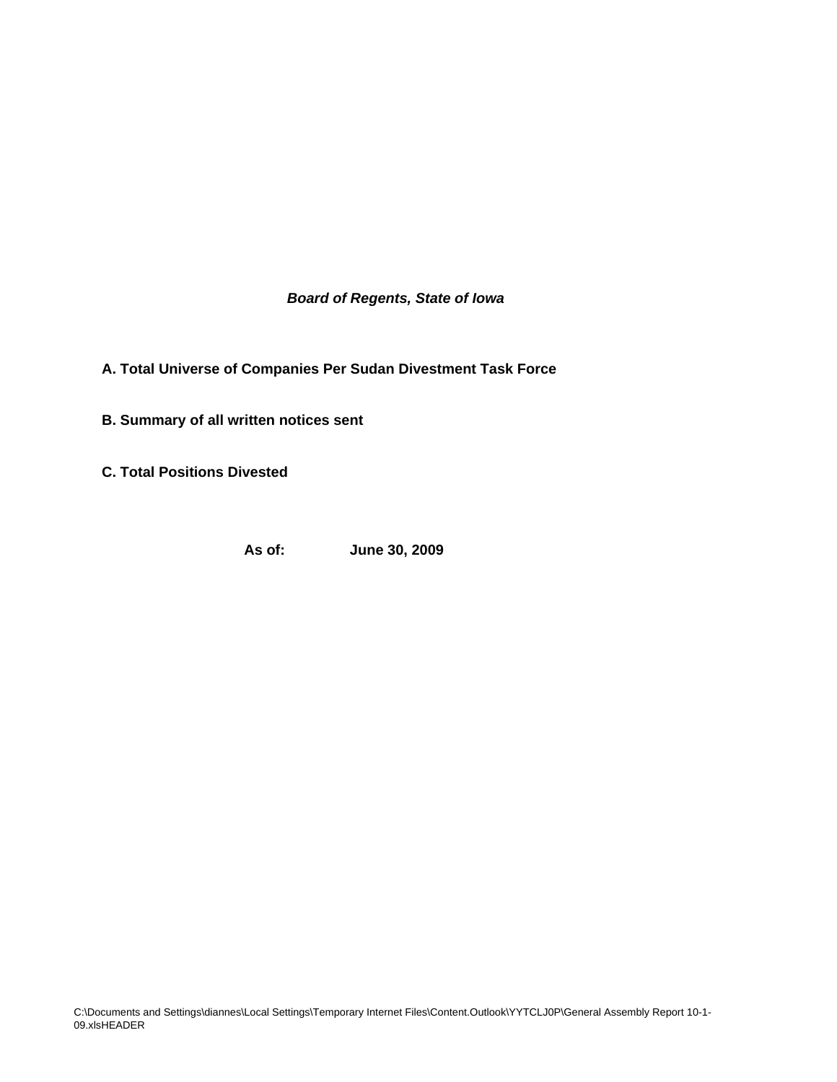*Board of Regents, State of Iowa*

**A. Total Universe of Companies Per Sudan Divestment Task Force**

**B. Summary of all written notices sent** 

**C. Total Positions Divested**

**As of: June 30, 2009**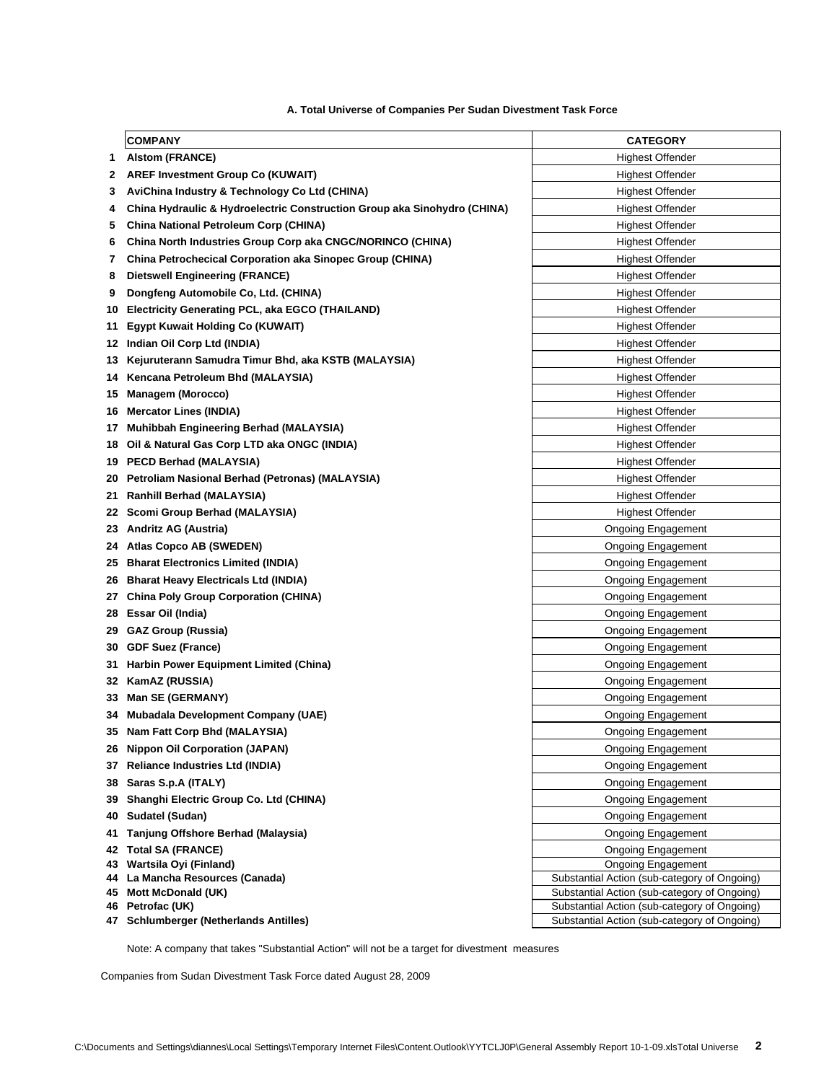|    | <b>COMPANY</b>                                                           | <b>CATEGORY</b>                                                                              |  |  |
|----|--------------------------------------------------------------------------|----------------------------------------------------------------------------------------------|--|--|
| 1. | <b>Alstom (FRANCE)</b>                                                   | Highest Offender                                                                             |  |  |
| 2  | <b>AREF Investment Group Co (KUWAIT)</b>                                 | Highest Offender                                                                             |  |  |
| 3  | AviChina Industry & Technology Co Ltd (CHINA)                            | Highest Offender                                                                             |  |  |
| 4  | China Hydraulic & Hydroelectric Construction Group aka Sinohydro (CHINA) | Highest Offender                                                                             |  |  |
| 5  | China National Petroleum Corp (CHINA)                                    | <b>Highest Offender</b>                                                                      |  |  |
| 6  | China North Industries Group Corp aka CNGC/NORINCO (CHINA)               | Highest Offender                                                                             |  |  |
| 7  | China Petrochecical Corporation aka Sinopec Group (CHINA)                | <b>Highest Offender</b>                                                                      |  |  |
| 8  | <b>Dietswell Engineering (FRANCE)</b>                                    | <b>Highest Offender</b>                                                                      |  |  |
| 9  | Dongfeng Automobile Co, Ltd. (CHINA)                                     | <b>Highest Offender</b>                                                                      |  |  |
| 10 | Electricity Generating PCL, aka EGCO (THAILAND)                          | <b>Highest Offender</b>                                                                      |  |  |
| 11 | <b>Egypt Kuwait Holding Co (KUWAIT)</b>                                  | <b>Highest Offender</b>                                                                      |  |  |
| 12 | Indian Oil Corp Ltd (INDIA)                                              | <b>Highest Offender</b>                                                                      |  |  |
| 13 | Kejuruterann Samudra Timur Bhd, aka KSTB (MALAYSIA)                      | <b>Highest Offender</b>                                                                      |  |  |
| 14 | Kencana Petroleum Bhd (MALAYSIA)                                         | <b>Highest Offender</b>                                                                      |  |  |
| 15 | <b>Managem (Morocco)</b>                                                 | <b>Highest Offender</b>                                                                      |  |  |
| 16 | <b>Mercator Lines (INDIA)</b>                                            | <b>Highest Offender</b>                                                                      |  |  |
| 17 | Muhibbah Engineering Berhad (MALAYSIA)                                   | <b>Highest Offender</b>                                                                      |  |  |
| 18 | Oil & Natural Gas Corp LTD aka ONGC (INDIA)                              | <b>Highest Offender</b>                                                                      |  |  |
| 19 | PECD Berhad (MALAYSIA)                                                   | <b>Highest Offender</b>                                                                      |  |  |
| 20 | Petroliam Nasional Berhad (Petronas) (MALAYSIA)                          | <b>Highest Offender</b>                                                                      |  |  |
| 21 | <b>Ranhill Berhad (MALAYSIA)</b>                                         | <b>Highest Offender</b>                                                                      |  |  |
| 22 | Scomi Group Berhad (MALAYSIA)                                            | <b>Highest Offender</b>                                                                      |  |  |
| 23 | <b>Andritz AG (Austria)</b>                                              | Ongoing Engagement                                                                           |  |  |
| 24 | <b>Atlas Copco AB (SWEDEN)</b>                                           | <b>Ongoing Engagement</b>                                                                    |  |  |
| 25 | <b>Bharat Electronics Limited (INDIA)</b>                                | <b>Ongoing Engagement</b>                                                                    |  |  |
| 26 | <b>Bharat Heavy Electricals Ltd (INDIA)</b>                              | <b>Ongoing Engagement</b>                                                                    |  |  |
| 27 | <b>China Poly Group Corporation (CHINA)</b>                              | <b>Ongoing Engagement</b>                                                                    |  |  |
| 28 | Essar Oil (India)                                                        | Ongoing Engagement                                                                           |  |  |
|    | 29 GAZ Group (Russia)                                                    | Ongoing Engagement                                                                           |  |  |
| 30 | <b>GDF Suez (France)</b>                                                 | Ongoing Engagement                                                                           |  |  |
| 31 | Harbin Power Equipment Limited (China)                                   | <b>Ongoing Engagement</b>                                                                    |  |  |
| 32 | KamAZ (RUSSIA)                                                           | Ongoing Engagement                                                                           |  |  |
| 33 | Man SE (GERMANY)                                                         | Ongoing Engagement                                                                           |  |  |
| 34 | Mubadala Development Company (UAE)                                       | Ongoing Engagement                                                                           |  |  |
|    | 35 Nam Fatt Corp Bhd (MALAYSIA)                                          | <b>Ongoing Engagement</b>                                                                    |  |  |
| 26 | <b>Nippon Oil Corporation (JAPAN)</b>                                    | Ongoing Engagement                                                                           |  |  |
| 37 | <b>Reliance Industries Ltd (INDIA)</b>                                   | <b>Ongoing Engagement</b>                                                                    |  |  |
| 38 | Saras S.p.A (ITALY)                                                      | <b>Ongoing Engagement</b>                                                                    |  |  |
| 39 | Shanghi Electric Group Co. Ltd (CHINA)                                   | <b>Ongoing Engagement</b>                                                                    |  |  |
| 40 | Sudatel (Sudan)                                                          | <b>Ongoing Engagement</b>                                                                    |  |  |
| 41 | Tanjung Offshore Berhad (Malaysia)                                       | <b>Ongoing Engagement</b>                                                                    |  |  |
| 42 | <b>Total SA (FRANCE)</b>                                                 | <b>Ongoing Engagement</b>                                                                    |  |  |
| 43 | Wartsila Oyi (Finland)                                                   | <b>Ongoing Engagement</b>                                                                    |  |  |
| 44 | La Mancha Resources (Canada)                                             | Substantial Action (sub-category of Ongoing)                                                 |  |  |
| 45 | Mott McDonald (UK)<br>46 Petrofac (UK)                                   | Substantial Action (sub-category of Ongoing)<br>Substantial Action (sub-category of Ongoing) |  |  |
|    | 47 Schlumberger (Netherlands Antilles)                                   | Substantial Action (sub-category of Ongoing)                                                 |  |  |
|    |                                                                          |                                                                                              |  |  |

## **A. Total Universe of Companies Per Sudan Divestment Task Force**

Note: A company that takes "Substantial Action" will not be a target for divestment measures

Companies from Sudan Divestment Task Force dated August 28, 2009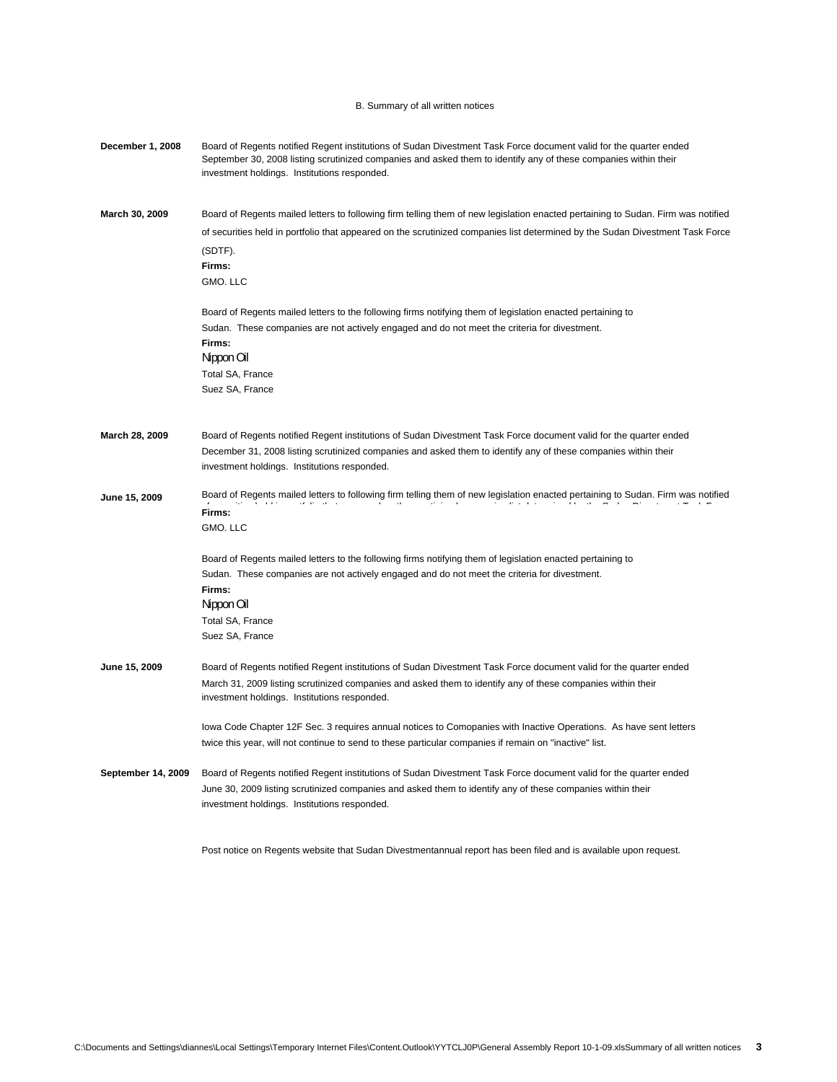## B. Summary of all written notices

| December 1, 2008   | Board of Regents notified Regent institutions of Sudan Divestment Task Force document valid for the quarter ended<br>September 30, 2008 listing scrutinized companies and asked them to identify any of these companies within their<br>investment holdings. Institutions responded.               |  |  |  |  |  |
|--------------------|----------------------------------------------------------------------------------------------------------------------------------------------------------------------------------------------------------------------------------------------------------------------------------------------------|--|--|--|--|--|
| March 30, 2009     | Board of Regents mailed letters to following firm telling them of new legislation enacted pertaining to Sudan. Firm was notified<br>of securities held in portfolio that appeared on the scrutinized companies list determined by the Sudan Divestment Task Force<br>(SDTF).<br>Firms:<br>GMO. LLC |  |  |  |  |  |
|                    | Board of Regents mailed letters to the following firms notifying them of legislation enacted pertaining to<br>Sudan. These companies are not actively engaged and do not meet the criteria for divestment.<br>Firms:<br>Nippon Oil<br>Total SA, France<br>Suez SA, France                          |  |  |  |  |  |
| March 28, 2009     | Board of Regents notified Regent institutions of Sudan Divestment Task Force document valid for the quarter ended<br>December 31, 2008 listing scrutinized companies and asked them to identify any of these companies within their<br>investment holdings. Institutions responded.                |  |  |  |  |  |
| June 15, 2009      | Board of Regents mailed letters to following firm telling them of new legislation enacted pertaining to Sudan. Firm was notified<br>Firms:<br>GMO. LLC                                                                                                                                             |  |  |  |  |  |
|                    | Board of Regents mailed letters to the following firms notifying them of legislation enacted pertaining to<br>Sudan. These companies are not actively engaged and do not meet the criteria for divestment.<br>Firms:<br>Nippon Oil<br>Total SA, France<br>Suez SA, France                          |  |  |  |  |  |
| June 15, 2009      | Board of Regents notified Regent institutions of Sudan Divestment Task Force document valid for the quarter ended<br>March 31, 2009 listing scrutinized companies and asked them to identify any of these companies within their<br>investment holdings. Institutions responded.                   |  |  |  |  |  |
|                    | lowa Code Chapter 12F Sec. 3 requires annual notices to Comopanies with Inactive Operations. As have sent letters<br>twice this year, will not continue to send to these particular companies if remain on "inactive" list.                                                                        |  |  |  |  |  |
| September 14, 2009 | Board of Regents notified Regent institutions of Sudan Divestment Task Force document valid for the quarter ended<br>June 30, 2009 listing scrutinized companies and asked them to identify any of these companies within their<br>investment holdings. Institutions responded.                    |  |  |  |  |  |
|                    | Post notice on Regents website that Sudan Divestmentannual report has been filed and is available upon request.                                                                                                                                                                                    |  |  |  |  |  |